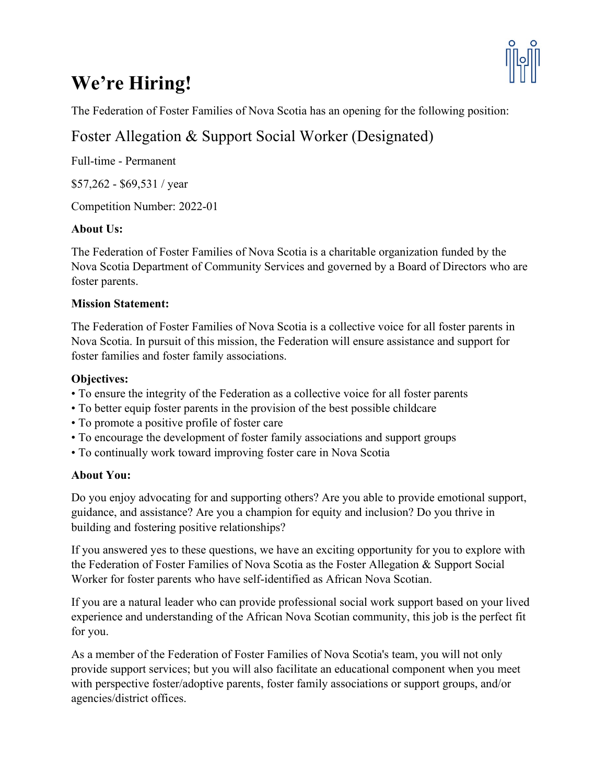# **We're Hiring!**



The Federation of Foster Families of Nova Scotia has an opening for the following position:

# Foster Allegation & Support Social Worker (Designated)

Full-time - Permanent

\$57,262 - \$69,531 / year

Competition Number: 2022-01

# **About Us:**

The Federation of Foster Families of Nova Scotia is a charitable organization funded by the Nova Scotia Department of Community Services and governed by a Board of Directors who are foster parents.

# **Mission Statement:**

The Federation of Foster Families of Nova Scotia is a collective voice for all foster parents in Nova Scotia. In pursuit of this mission, the Federation will ensure assistance and support for foster families and foster family associations.

# **Objectives:**

- To ensure the integrity of the Federation as a collective voice for all foster parents
- To better equip foster parents in the provision of the best possible childcare
- To promote a positive profile of foster care
- To encourage the development of foster family associations and support groups
- To continually work toward improving foster care in Nova Scotia

# **About You:**

Do you enjoy advocating for and supporting others? Are you able to provide emotional support, guidance, and assistance? Are you a champion for equity and inclusion? Do you thrive in building and fostering positive relationships?

If you answered yes to these questions, we have an exciting opportunity for you to explore with the Federation of Foster Families of Nova Scotia as the Foster Allegation & Support Social Worker for foster parents who have self-identified as African Nova Scotian.

If you are a natural leader who can provide professional social work support based on your lived experience and understanding of the African Nova Scotian community, this job is the perfect fit for you.

As a member of the Federation of Foster Families of Nova Scotia's team, you will not only provide support services; but you will also facilitate an educational component when you meet with perspective foster/adoptive parents, foster family associations or support groups, and/or agencies/district offices.